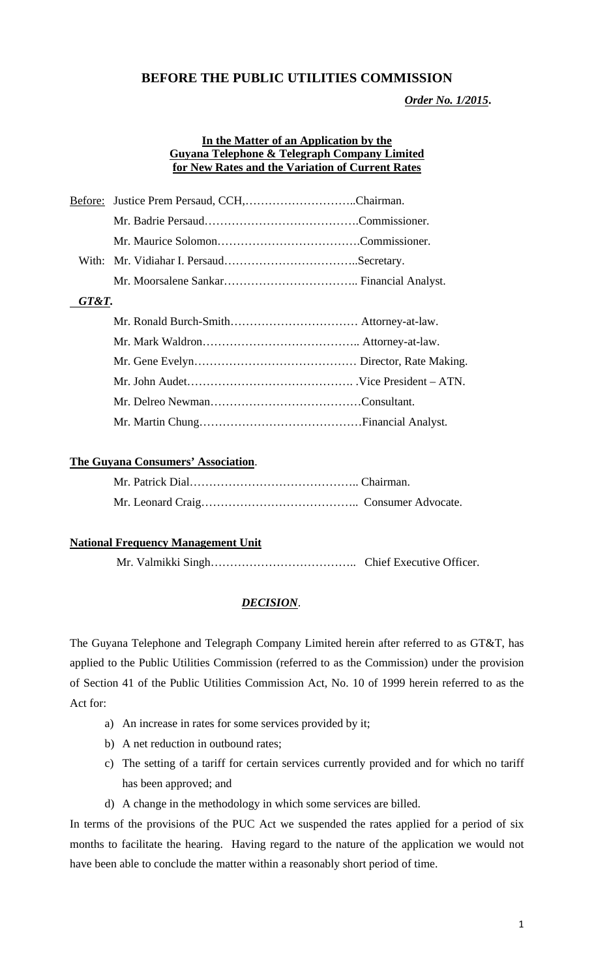# **BEFORE THE PUBLIC UTILITIES COMMISSION**

*Order No. 1/2015***.** 

#### **In the Matter of an Application by the Guyana Telephone & Telegraph Company Limited for New Rates and the Variation of Current Rates**

| Before: |  |  |  |
|---------|--|--|--|
|         |  |  |  |
|         |  |  |  |
|         |  |  |  |
|         |  |  |  |
| GT&T.   |  |  |  |
|         |  |  |  |
|         |  |  |  |
|         |  |  |  |
|         |  |  |  |
|         |  |  |  |
|         |  |  |  |

## **The Guyana Consumers' Association**.

## **National Frequency Management Unit**

Mr. Valmikki Singh……………………………….. Chief Executive Officer.

## *DECISION*.

The Guyana Telephone and Telegraph Company Limited herein after referred to as GT&T, has applied to the Public Utilities Commission (referred to as the Commission) under the provision of Section 41 of the Public Utilities Commission Act, No. 10 of 1999 herein referred to as the Act for:

- a) An increase in rates for some services provided by it;
- b) A net reduction in outbound rates;
- c) The setting of a tariff for certain services currently provided and for which no tariff has been approved; and
- d) A change in the methodology in which some services are billed.

In terms of the provisions of the PUC Act we suspended the rates applied for a period of six months to facilitate the hearing. Having regard to the nature of the application we would not have been able to conclude the matter within a reasonably short period of time.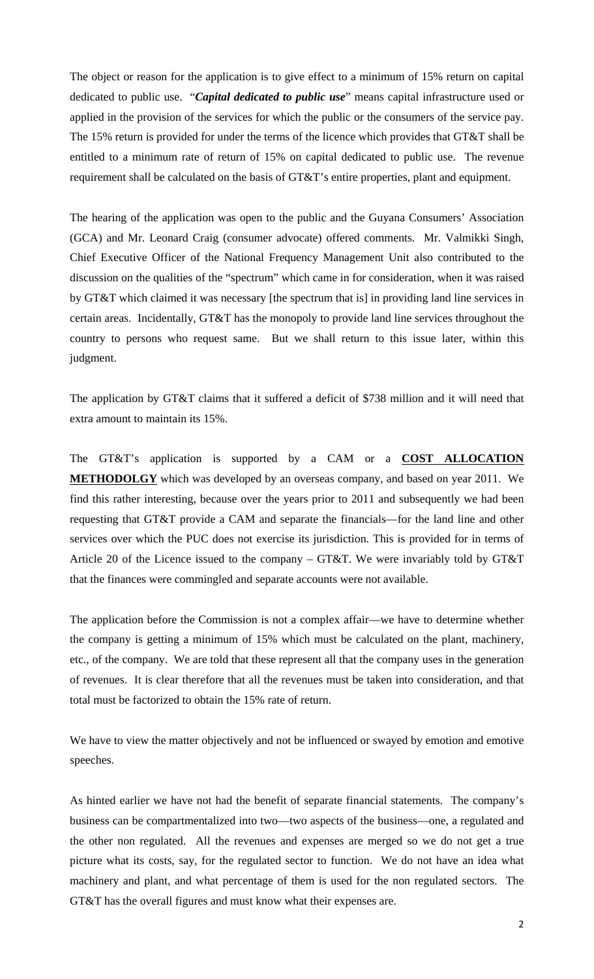The object or reason for the application is to give effect to a minimum of 15% return on capital dedicated to public use. "*Capital dedicated to public use*" means capital infrastructure used or applied in the provision of the services for which the public or the consumers of the service pay. The 15% return is provided for under the terms of the licence which provides that GT&T shall be entitled to a minimum rate of return of 15% on capital dedicated to public use. The revenue requirement shall be calculated on the basis of GT&T's entire properties, plant and equipment.

The hearing of the application was open to the public and the Guyana Consumers' Association (GCA) and Mr. Leonard Craig (consumer advocate) offered comments. Mr. Valmikki Singh, Chief Executive Officer of the National Frequency Management Unit also contributed to the discussion on the qualities of the "spectrum" which came in for consideration, when it was raised by GT&T which claimed it was necessary [the spectrum that is] in providing land line services in certain areas. Incidentally, GT&T has the monopoly to provide land line services throughout the country to persons who request same. But we shall return to this issue later, within this judgment.

The application by GT&T claims that it suffered a deficit of \$738 million and it will need that extra amount to maintain its 15%.

The GT&T's application is supported by a CAM or a **COST ALLOCATION METHODOLGY** which was developed by an overseas company, and based on year 2011. We find this rather interesting, because over the years prior to 2011 and subsequently we had been requesting that GT&T provide a CAM and separate the financials—for the land line and other services over which the PUC does not exercise its jurisdiction. This is provided for in terms of Article 20 of the Licence issued to the company – GT&T. We were invariably told by GT&T that the finances were commingled and separate accounts were not available.

The application before the Commission is not a complex affair—we have to determine whether the company is getting a minimum of 15% which must be calculated on the plant, machinery, etc., of the company. We are told that these represent all that the company uses in the generation of revenues. It is clear therefore that all the revenues must be taken into consideration, and that total must be factorized to obtain the 15% rate of return.

We have to view the matter objectively and not be influenced or swayed by emotion and emotive speeches.

As hinted earlier we have not had the benefit of separate financial statements. The company's business can be compartmentalized into two—two aspects of the business—one, a regulated and the other non regulated. All the revenues and expenses are merged so we do not get a true picture what its costs, say, for the regulated sector to function. We do not have an idea what machinery and plant, and what percentage of them is used for the non regulated sectors. The GT&T has the overall figures and must know what their expenses are.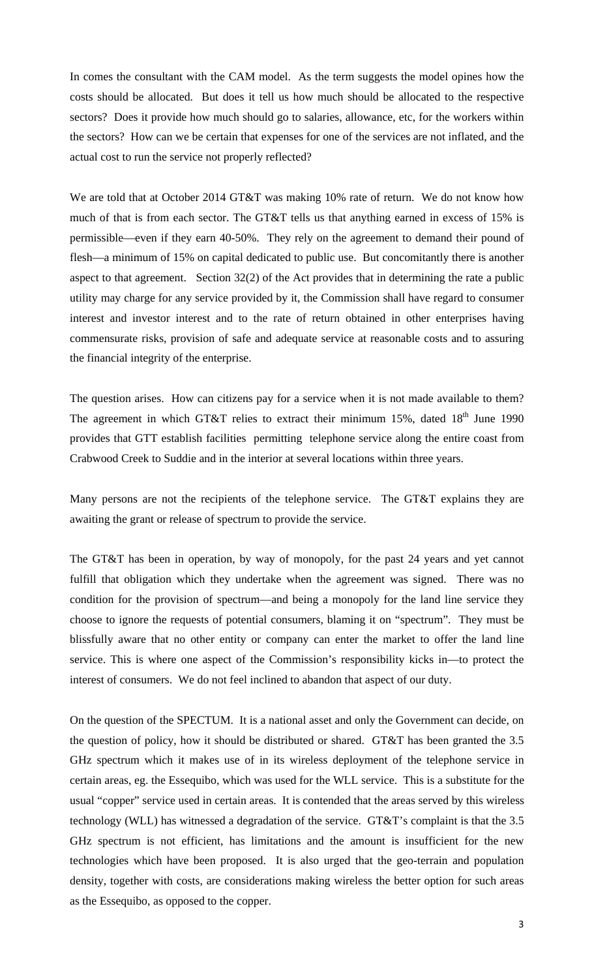In comes the consultant with the CAM model. As the term suggests the model opines how the costs should be allocated. But does it tell us how much should be allocated to the respective sectors? Does it provide how much should go to salaries, allowance, etc, for the workers within the sectors? How can we be certain that expenses for one of the services are not inflated, and the actual cost to run the service not properly reflected?

We are told that at October 2014 GT&T was making 10% rate of return. We do not know how much of that is from each sector. The GT&T tells us that anything earned in excess of 15% is permissible—even if they earn 40-50%. They rely on the agreement to demand their pound of flesh—a minimum of 15% on capital dedicated to public use. But concomitantly there is another aspect to that agreement. Section 32(2) of the Act provides that in determining the rate a public utility may charge for any service provided by it, the Commission shall have regard to consumer interest and investor interest and to the rate of return obtained in other enterprises having commensurate risks, provision of safe and adequate service at reasonable costs and to assuring the financial integrity of the enterprise.

The question arises. How can citizens pay for a service when it is not made available to them? The agreement in which GT&T relies to extract their minimum 15%, dated  $18<sup>th</sup>$  June 1990 provides that GTT establish facilities permitting telephone service along the entire coast from Crabwood Creek to Suddie and in the interior at several locations within three years.

Many persons are not the recipients of the telephone service. The GT&T explains they are awaiting the grant or release of spectrum to provide the service.

The GT&T has been in operation, by way of monopoly, for the past 24 years and yet cannot fulfill that obligation which they undertake when the agreement was signed. There was no condition for the provision of spectrum—and being a monopoly for the land line service they choose to ignore the requests of potential consumers, blaming it on "spectrum". They must be blissfully aware that no other entity or company can enter the market to offer the land line service. This is where one aspect of the Commission's responsibility kicks in—to protect the interest of consumers. We do not feel inclined to abandon that aspect of our duty.

On the question of the SPECTUM. It is a national asset and only the Government can decide, on the question of policy, how it should be distributed or shared. GT&T has been granted the 3.5 GHz spectrum which it makes use of in its wireless deployment of the telephone service in certain areas, eg. the Essequibo, which was used for the WLL service. This is a substitute for the usual "copper" service used in certain areas. It is contended that the areas served by this wireless technology (WLL) has witnessed a degradation of the service. GT&T's complaint is that the 3.5 GHz spectrum is not efficient, has limitations and the amount is insufficient for the new technologies which have been proposed. It is also urged that the geo-terrain and population density, together with costs, are considerations making wireless the better option for such areas as the Essequibo, as opposed to the copper.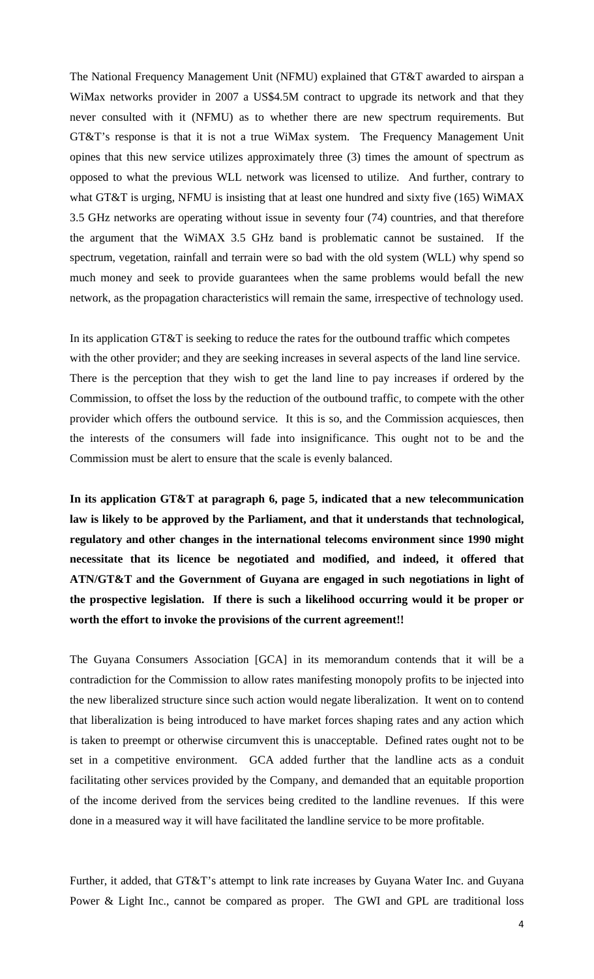The National Frequency Management Unit (NFMU) explained that GT&T awarded to airspan a WiMax networks provider in 2007 a US\$4.5M contract to upgrade its network and that they never consulted with it (NFMU) as to whether there are new spectrum requirements. But GT&T's response is that it is not a true WiMax system. The Frequency Management Unit opines that this new service utilizes approximately three (3) times the amount of spectrum as opposed to what the previous WLL network was licensed to utilize. And further, contrary to what GT&T is urging, NFMU is insisting that at least one hundred and sixty five (165) WiMAX 3.5 GHz networks are operating without issue in seventy four (74) countries, and that therefore the argument that the WiMAX 3.5 GHz band is problematic cannot be sustained. If the spectrum, vegetation, rainfall and terrain were so bad with the old system (WLL) why spend so much money and seek to provide guarantees when the same problems would befall the new network, as the propagation characteristics will remain the same, irrespective of technology used.

In its application GT&T is seeking to reduce the rates for the outbound traffic which competes with the other provider; and they are seeking increases in several aspects of the land line service. There is the perception that they wish to get the land line to pay increases if ordered by the Commission, to offset the loss by the reduction of the outbound traffic, to compete with the other provider which offers the outbound service. It this is so, and the Commission acquiesces, then the interests of the consumers will fade into insignificance. This ought not to be and the Commission must be alert to ensure that the scale is evenly balanced.

**In its application GT&T at paragraph 6, page 5, indicated that a new telecommunication law is likely to be approved by the Parliament, and that it understands that technological, regulatory and other changes in the international telecoms environment since 1990 might necessitate that its licence be negotiated and modified, and indeed, it offered that ATN/GT&T and the Government of Guyana are engaged in such negotiations in light of the prospective legislation. If there is such a likelihood occurring would it be proper or worth the effort to invoke the provisions of the current agreement!!** 

The Guyana Consumers Association [GCA] in its memorandum contends that it will be a contradiction for the Commission to allow rates manifesting monopoly profits to be injected into the new liberalized structure since such action would negate liberalization. It went on to contend that liberalization is being introduced to have market forces shaping rates and any action which is taken to preempt or otherwise circumvent this is unacceptable. Defined rates ought not to be set in a competitive environment. GCA added further that the landline acts as a conduit facilitating other services provided by the Company, and demanded that an equitable proportion of the income derived from the services being credited to the landline revenues. If this were done in a measured way it will have facilitated the landline service to be more profitable.

Further, it added, that GT&T's attempt to link rate increases by Guyana Water Inc. and Guyana Power & Light Inc., cannot be compared as proper. The GWI and GPL are traditional loss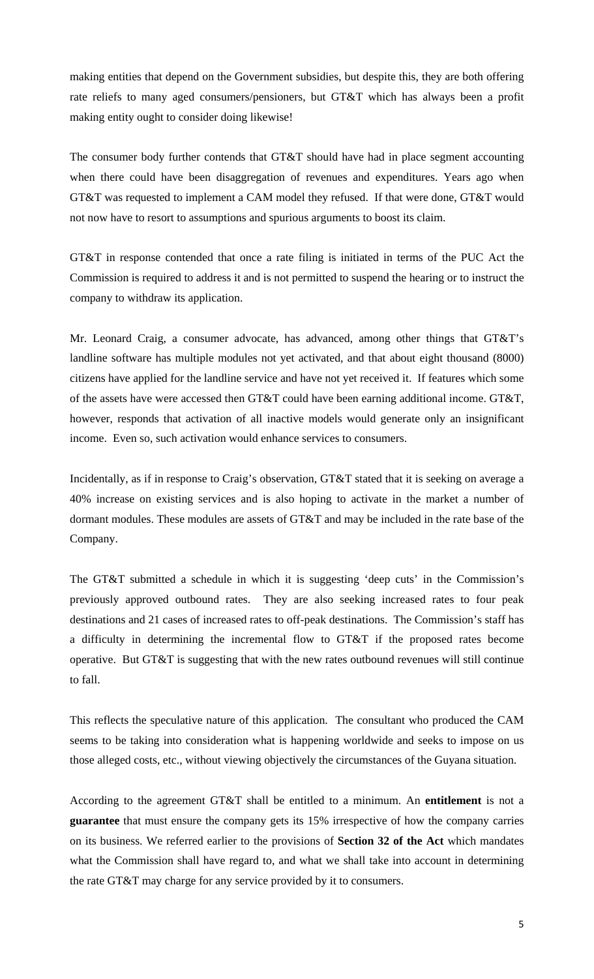making entities that depend on the Government subsidies, but despite this, they are both offering rate reliefs to many aged consumers/pensioners, but GT&T which has always been a profit making entity ought to consider doing likewise!

The consumer body further contends that GT&T should have had in place segment accounting when there could have been disaggregation of revenues and expenditures. Years ago when GT&T was requested to implement a CAM model they refused. If that were done, GT&T would not now have to resort to assumptions and spurious arguments to boost its claim.

GT&T in response contended that once a rate filing is initiated in terms of the PUC Act the Commission is required to address it and is not permitted to suspend the hearing or to instruct the company to withdraw its application.

Mr. Leonard Craig, a consumer advocate, has advanced, among other things that GT&T's landline software has multiple modules not yet activated, and that about eight thousand (8000) citizens have applied for the landline service and have not yet received it. If features which some of the assets have were accessed then GT&T could have been earning additional income. GT&T, however, responds that activation of all inactive models would generate only an insignificant income. Even so, such activation would enhance services to consumers.

Incidentally, as if in response to Craig's observation, GT&T stated that it is seeking on average a 40% increase on existing services and is also hoping to activate in the market a number of dormant modules. These modules are assets of GT&T and may be included in the rate base of the Company.

The GT&T submitted a schedule in which it is suggesting 'deep cuts' in the Commission's previously approved outbound rates. They are also seeking increased rates to four peak destinations and 21 cases of increased rates to off-peak destinations. The Commission's staff has a difficulty in determining the incremental flow to GT&T if the proposed rates become operative. But GT&T is suggesting that with the new rates outbound revenues will still continue to fall.

This reflects the speculative nature of this application. The consultant who produced the CAM seems to be taking into consideration what is happening worldwide and seeks to impose on us those alleged costs, etc., without viewing objectively the circumstances of the Guyana situation.

According to the agreement GT&T shall be entitled to a minimum. An **entitlement** is not a **guarantee** that must ensure the company gets its 15% irrespective of how the company carries on its business. We referred earlier to the provisions of **Section 32 of the Act** which mandates what the Commission shall have regard to, and what we shall take into account in determining the rate GT&T may charge for any service provided by it to consumers.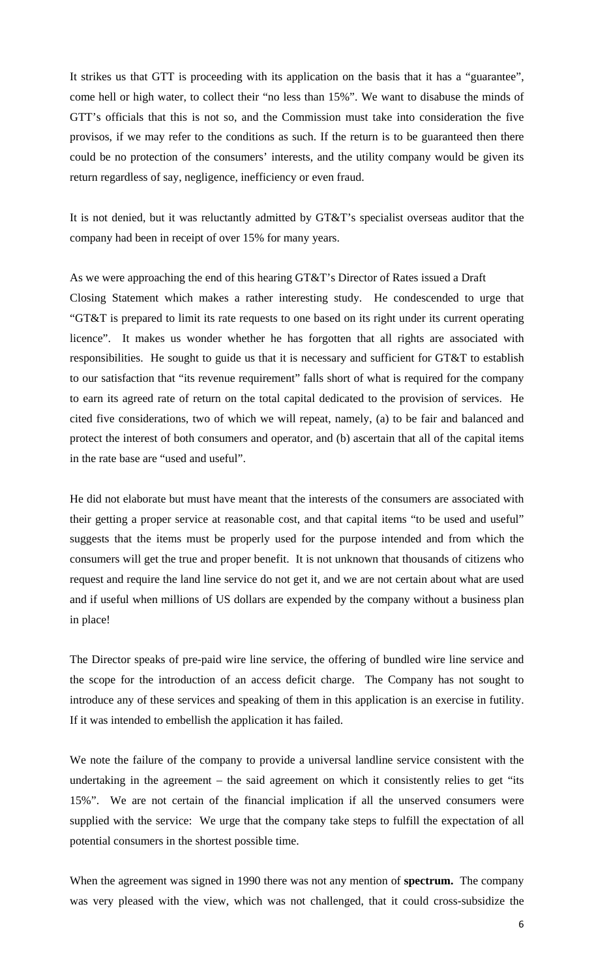It strikes us that GTT is proceeding with its application on the basis that it has a "guarantee", come hell or high water, to collect their "no less than 15%". We want to disabuse the minds of GTT's officials that this is not so, and the Commission must take into consideration the five provisos, if we may refer to the conditions as such. If the return is to be guaranteed then there could be no protection of the consumers' interests, and the utility company would be given its return regardless of say, negligence, inefficiency or even fraud.

It is not denied, but it was reluctantly admitted by GT&T's specialist overseas auditor that the company had been in receipt of over 15% for many years.

As we were approaching the end of this hearing GT&T's Director of Rates issued a Draft Closing Statement which makes a rather interesting study. He condescended to urge that "GT&T is prepared to limit its rate requests to one based on its right under its current operating licence". It makes us wonder whether he has forgotten that all rights are associated with responsibilities. He sought to guide us that it is necessary and sufficient for GT&T to establish to our satisfaction that "its revenue requirement" falls short of what is required for the company to earn its agreed rate of return on the total capital dedicated to the provision of services. He cited five considerations, two of which we will repeat, namely, (a) to be fair and balanced and protect the interest of both consumers and operator, and (b) ascertain that all of the capital items in the rate base are "used and useful".

He did not elaborate but must have meant that the interests of the consumers are associated with their getting a proper service at reasonable cost, and that capital items "to be used and useful" suggests that the items must be properly used for the purpose intended and from which the consumers will get the true and proper benefit. It is not unknown that thousands of citizens who request and require the land line service do not get it, and we are not certain about what are used and if useful when millions of US dollars are expended by the company without a business plan in place!

The Director speaks of pre-paid wire line service, the offering of bundled wire line service and the scope for the introduction of an access deficit charge. The Company has not sought to introduce any of these services and speaking of them in this application is an exercise in futility. If it was intended to embellish the application it has failed.

We note the failure of the company to provide a universal landline service consistent with the undertaking in the agreement – the said agreement on which it consistently relies to get "its 15%". We are not certain of the financial implication if all the unserved consumers were supplied with the service: We urge that the company take steps to fulfill the expectation of all potential consumers in the shortest possible time.

When the agreement was signed in 1990 there was not any mention of **spectrum.** The company was very pleased with the view, which was not challenged, that it could cross-subsidize the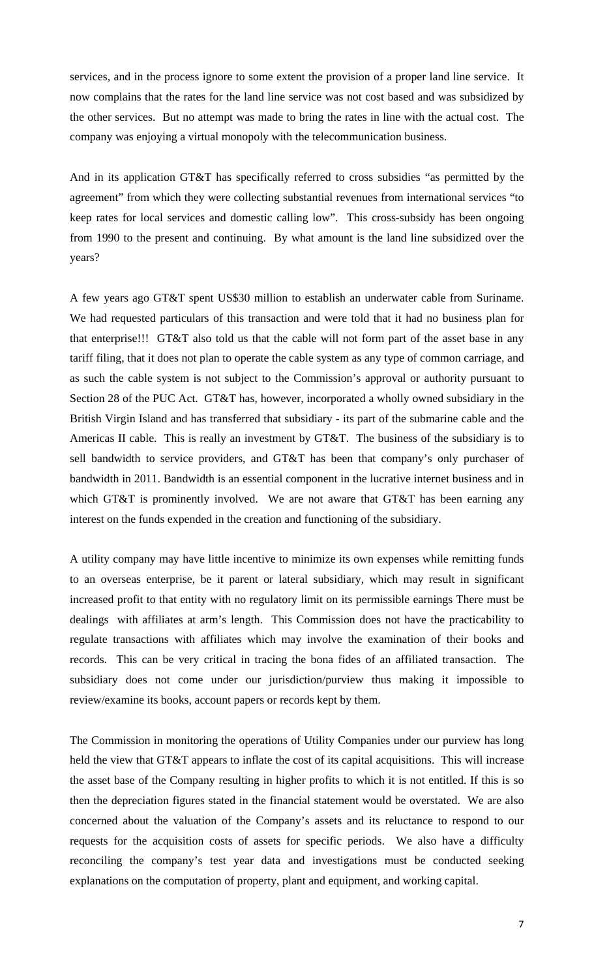services, and in the process ignore to some extent the provision of a proper land line service. It now complains that the rates for the land line service was not cost based and was subsidized by the other services. But no attempt was made to bring the rates in line with the actual cost. The company was enjoying a virtual monopoly with the telecommunication business.

And in its application GT&T has specifically referred to cross subsidies "as permitted by the agreement" from which they were collecting substantial revenues from international services "to keep rates for local services and domestic calling low". This cross-subsidy has been ongoing from 1990 to the present and continuing. By what amount is the land line subsidized over the years?

A few years ago GT&T spent US\$30 million to establish an underwater cable from Suriname. We had requested particulars of this transaction and were told that it had no business plan for that enterprise!!! GT&T also told us that the cable will not form part of the asset base in any tariff filing, that it does not plan to operate the cable system as any type of common carriage, and as such the cable system is not subject to the Commission's approval or authority pursuant to Section 28 of the PUC Act. GT&T has, however, incorporated a wholly owned subsidiary in the British Virgin Island and has transferred that subsidiary - its part of the submarine cable and the Americas II cable. This is really an investment by GT&T. The business of the subsidiary is to sell bandwidth to service providers, and GT&T has been that company's only purchaser of bandwidth in 2011. Bandwidth is an essential component in the lucrative internet business and in which GT&T is prominently involved. We are not aware that GT&T has been earning any interest on the funds expended in the creation and functioning of the subsidiary.

A utility company may have little incentive to minimize its own expenses while remitting funds to an overseas enterprise, be it parent or lateral subsidiary, which may result in significant increased profit to that entity with no regulatory limit on its permissible earnings There must be dealings with affiliates at arm's length. This Commission does not have the practicability to regulate transactions with affiliates which may involve the examination of their books and records. This can be very critical in tracing the bona fides of an affiliated transaction. The subsidiary does not come under our jurisdiction/purview thus making it impossible to review/examine its books, account papers or records kept by them.

The Commission in monitoring the operations of Utility Companies under our purview has long held the view that GT&T appears to inflate the cost of its capital acquisitions. This will increase the asset base of the Company resulting in higher profits to which it is not entitled. If this is so then the depreciation figures stated in the financial statement would be overstated. We are also concerned about the valuation of the Company's assets and its reluctance to respond to our requests for the acquisition costs of assets for specific periods. We also have a difficulty reconciling the company's test year data and investigations must be conducted seeking explanations on the computation of property, plant and equipment, and working capital.